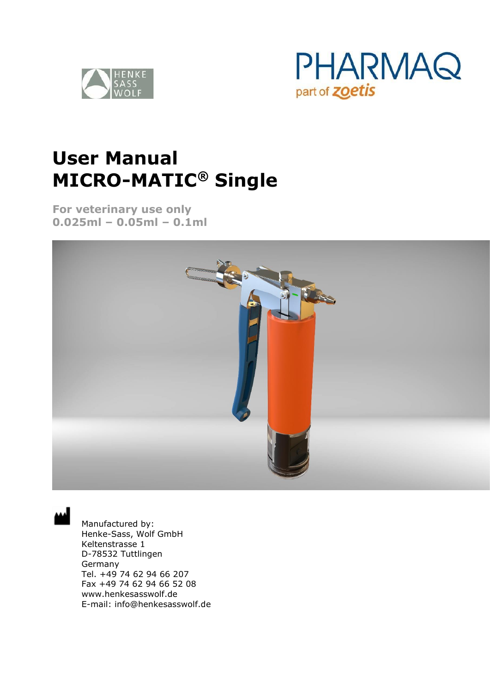



# **User Manual MICRO-MATIC® Single**

**For veterinary use only 0.025ml – 0.05ml – 0.1ml**



Manufactured by: Henke-Sass, Wolf GmbH Keltenstrasse 1 D-78532 Tuttlingen Germany Tel. +49 74 62 94 66 207 Fax +49 74 62 94 66 52 08 www.henkesasswolf.de E-mail: info@henkesasswolf.de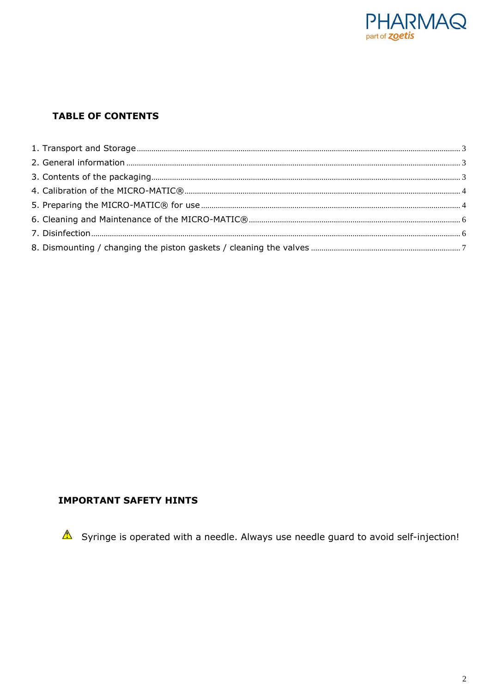

# **TABLE OF CONTENTS**

### **IMPORTANT SAFETY HINTS**

 $\triangle$  Syringe is operated with a needle. Always use needle guard to avoid self-injection!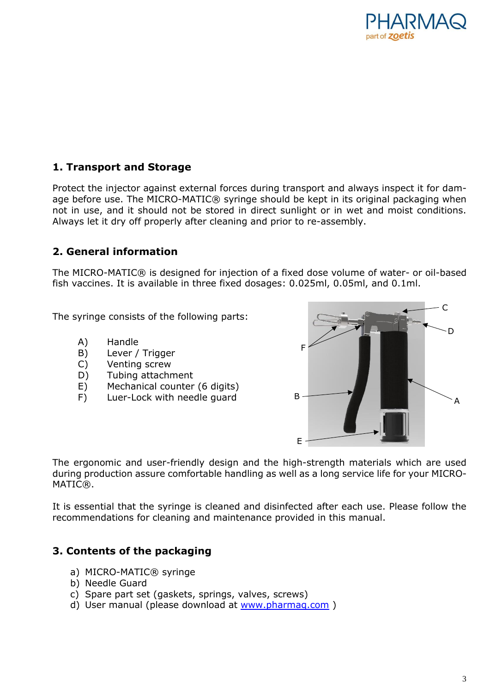

# <span id="page-2-0"></span>**1. Transport and Storage**

Protect the injector against external forces during transport and always inspect it for damage before use. The MICRO-MATIC® syringe should be kept in its original packaging when not in use, and it should not be stored in direct sunlight or in wet and moist conditions. Always let it dry off properly after cleaning and prior to re-assembly.

# <span id="page-2-1"></span>**2. General information**

The MICRO-MATIC® is designed for injection of a fixed dose volume of water- or oil-based fish vaccines. It is available in three fixed dosages: 0.025ml, 0.05ml, and 0.1ml.

The syringe consists of the following parts:

- A) Handle
- B) Lever / Trigger
- C) Venting screw
- D) Tubing attachment
- E) Mechanical counter (6 digits)
- F) Luer-Lock with needle guard B



The ergonomic and user-friendly design and the high-strength materials which are used during production assure comfortable handling as well as a long service life for your MICRO-MATIC®.

It is essential that the syringe is cleaned and disinfected after each use. Please follow the recommendations for cleaning and maintenance provided in this manual.

# <span id="page-2-2"></span>**3. Contents of the packaging**

- a) MICRO-MATIC® svringe
- b) Needle Guard
- c) Spare part set (gaskets, springs, valves, screws)
- d) User manual (please download at [www.pharmaq.com](http://www.pharmaq.com/) )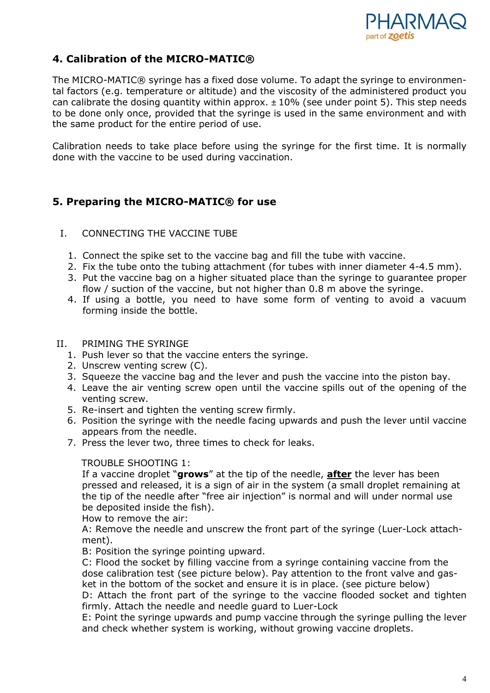

# <span id="page-3-0"></span>**4. Calibration of the MICRO-MATIC®**

The MICRO-MATIC® syringe has a fixed dose volume. To adapt the syringe to environmental factors (e.g. temperature or altitude) and the viscosity of the administered product you can calibrate the dosing quantity within approx.  $\pm$  10% (see under point 5). This step needs to be done only once, provided that the syringe is used in the same environment and with the same product for the entire period of use.

Calibration needs to take place before using the syringe for the first time. It is normally done with the vaccine to be used during vaccination.

# <span id="page-3-1"></span>**5. Preparing the MICRO-MATIC® for use**

### I. CONNECTING THE VACCINE TUBE

- 1. Connect the spike set to the vaccine bag and fill the tube with vaccine.
- 2. Fix the tube onto the tubing attachment (for tubes with inner diameter 4-4.5 mm).
- 3. Put the vaccine bag on a higher situated place than the syringe to guarantee proper flow / suction of the vaccine, but not higher than 0.8 m above the syringe.
- 4. If using a bottle, you need to have some form of venting to avoid a vacuum forming inside the bottle.

#### II. PRIMING THE SYRINGE

- 1. Push lever so that the vaccine enters the syringe.
- 2. Unscrew venting screw (C).
- 3. Squeeze the vaccine bag and the lever and push the vaccine into the piston bay.
- 4. Leave the air venting screw open until the vaccine spills out of the opening of the venting screw.
- 5. Re-insert and tighten the venting screw firmly.
- 6. Position the syringe with the needle facing upwards and push the lever until vaccine appears from the needle.
- 7. Press the lever two, three times to check for leaks.

#### TROUBLE SHOOTING 1:

If a vaccine droplet "**grows**" at the tip of the needle, **after** the lever has been pressed and released, it is a sign of air in the system (a small droplet remaining at the tip of the needle after "free air injection" is normal and will under normal use be deposited inside the fish).

How to remove the air:

A: Remove the needle and unscrew the front part of the syringe (Luer-Lock attachment).

B: Position the syringe pointing upward.

C: Flood the socket by filling vaccine from a syringe containing vaccine from the dose calibration test (see picture below). Pay attention to the front valve and gasket in the bottom of the socket and ensure it is in place. (see picture below) D: Attach the front part of the syringe to the vaccine flooded socket and tighten firmly. Attach the needle and needle guard to Luer-Lock

E: Point the syringe upwards and pump vaccine through the syringe pulling the lever and check whether system is working, without growing vaccine droplets.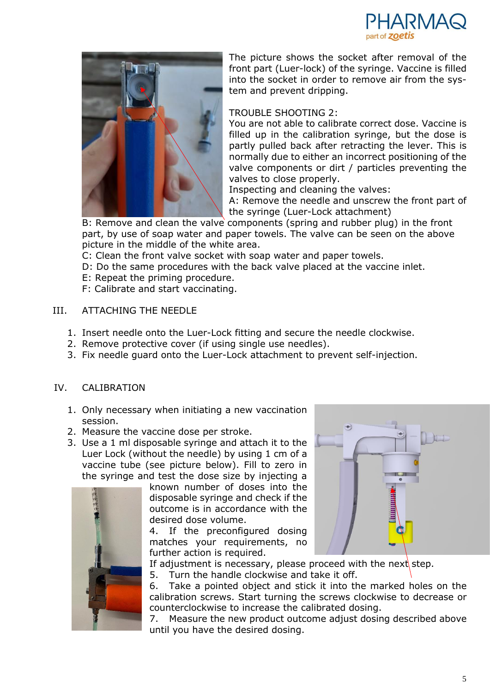



The picture shows the socket after removal of the front part (Luer-lock) of the syringe. Vaccine is filled into the socket in order to remove air from the system and prevent dripping.

#### TROUBLE SHOOTING 2:

You are not able to calibrate correct dose. Vaccine is filled up in the calibration syringe, but the dose is partly pulled back after retracting the lever. This is normally due to either an incorrect positioning of the valve components or dirt / particles preventing the valves to close properly.

Inspecting and cleaning the valves:

A: Remove the needle and unscrew the front part of the syringe (Luer-Lock attachment)

B: Remove and clean the valve components (spring and rubber plug) in the front part, by use of soap water and paper towels. The valve can be seen on the above picture in the middle of the white area.

C: Clean the front valve socket with soap water and paper towels.

D: Do the same procedures with the back valve placed at the vaccine inlet.

E: Repeat the priming procedure.

F: Calibrate and start vaccinating.

#### III. ATTACHING THE NEEDLE

- 1. Insert needle onto the Luer-Lock fitting and secure the needle clockwise.
- 2. Remove protective cover (if using single use needles).
- 3. Fix needle guard onto the Luer-Lock attachment to prevent self-injection.

#### IV. CALIBRATION

- 1. Only necessary when initiating a new vaccination session.
- 2. Measure the vaccine dose per stroke.
- 3. Use a 1 ml disposable syringe and attach it to the Luer Lock (without the needle) by using 1 cm of a vaccine tube (see picture below). Fill to zero in the syringe and test the dose size by injecting a



known number of doses into the disposable syringe and check if the outcome is in accordance with the desired dose volume.

4. If the preconfigured dosing matches your requirements, no further action is required.



If adjustment is necessary, please proceed with the next step.

5. Turn the handle clockwise and take it off.

6. Take a pointed object and stick it into the marked holes on the calibration screws. Start turning the screws clockwise to decrease or counterclockwise to increase the calibrated dosing.

7. Measure the new product outcome adjust dosing described above until you have the desired dosing.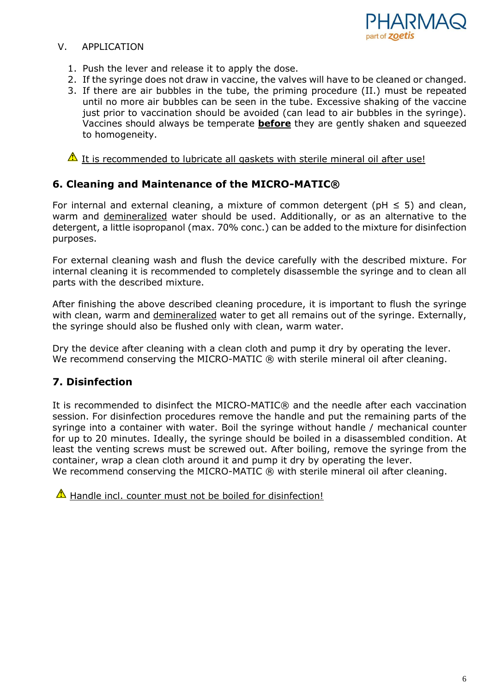

### V. APPLICATION

- 1. Push the lever and release it to apply the dose.
- 2. If the syringe does not draw in vaccine, the valves will have to be cleaned or changed.
- 3. If there are air bubbles in the tube, the priming procedure (II.) must be repeated until no more air bubbles can be seen in the tube. Excessive shaking of the vaccine just prior to vaccination should be avoided (can lead to air bubbles in the syringe). Vaccines should always be temperate **before** they are gently shaken and squeezed to homogeneity.

## $\triangle$  It is recommended to lubricate all gaskets with sterile mineral oil after use!

# <span id="page-5-0"></span>**6. Cleaning and Maintenance of the MICRO-MATIC®**

For internal and external cleaning, a mixture of common detergent ( $pH \leq 5$ ) and clean, warm and demineralized water should be used. Additionally, or as an alternative to the detergent, a little isopropanol (max. 70% conc.) can be added to the mixture for disinfection purposes.

For external cleaning wash and flush the device carefully with the described mixture. For internal cleaning it is recommended to completely disassemble the syringe and to clean all parts with the described mixture.

After finishing the above described cleaning procedure, it is important to flush the syringe with clean, warm and demineralized water to get all remains out of the syringe. Externally, the syringe should also be flushed only with clean, warm water.

Dry the device after cleaning with a clean cloth and pump it dry by operating the lever. We recommend conserving the MICRO-MATIC ® with sterile mineral oil after cleaning.

# <span id="page-5-1"></span>**7. Disinfection**

It is recommended to disinfect the MICRO-MATIC® and the needle after each vaccination session. For disinfection procedures remove the handle and put the remaining parts of the syringe into a container with water. Boil the syringe without handle / mechanical counter for up to 20 minutes. Ideally, the syringe should be boiled in a disassembled condition. At least the venting screws must be screwed out. After boiling, remove the syringe from the container, wrap a clean cloth around it and pump it dry by operating the lever. We recommend conserving the MICRO-MATIC ® with sterile mineral oil after cleaning.

 $\triangle$  Handle incl. counter must not be boiled for disinfection!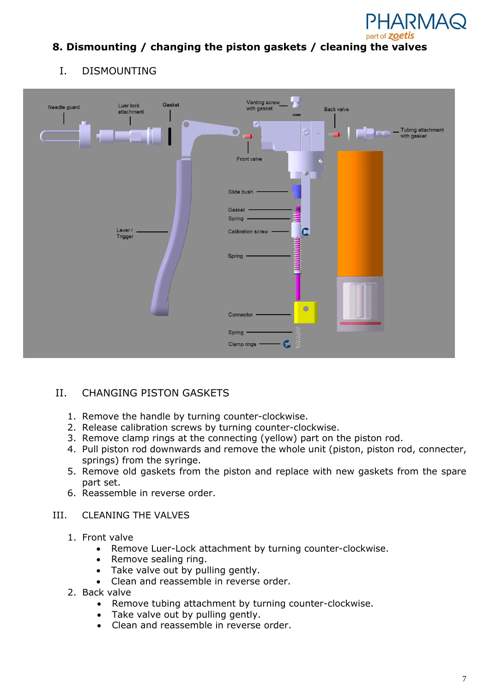

# <span id="page-6-0"></span>**8. Dismounting / changing the piston gaskets / cleaning the valves**

# I. DISMOUNTING



# II. CHANGING PISTON GASKETS

- 1. Remove the handle by turning counter-clockwise.
- 2. Release calibration screws by turning counter-clockwise.
- 3. Remove clamp rings at the connecting (yellow) part on the piston rod.
- 4. Pull piston rod downwards and remove the whole unit (piston, piston rod, connecter, springs) from the syringe.
- 5. Remove old gaskets from the piston and replace with new gaskets from the spare part set.
- 6. Reassemble in reverse order.
- III. CLEANING THE VALVES
	- 1. Front valve
		- Remove Luer-Lock attachment by turning counter-clockwise.
		- Remove sealing ring.
		- Take valve out by pulling gently.
		- Clean and reassemble in reverse order.
	- 2. Back valve
		- Remove tubing attachment by turning counter-clockwise.
		- Take valve out by pulling gently.
		- Clean and reassemble in reverse order.